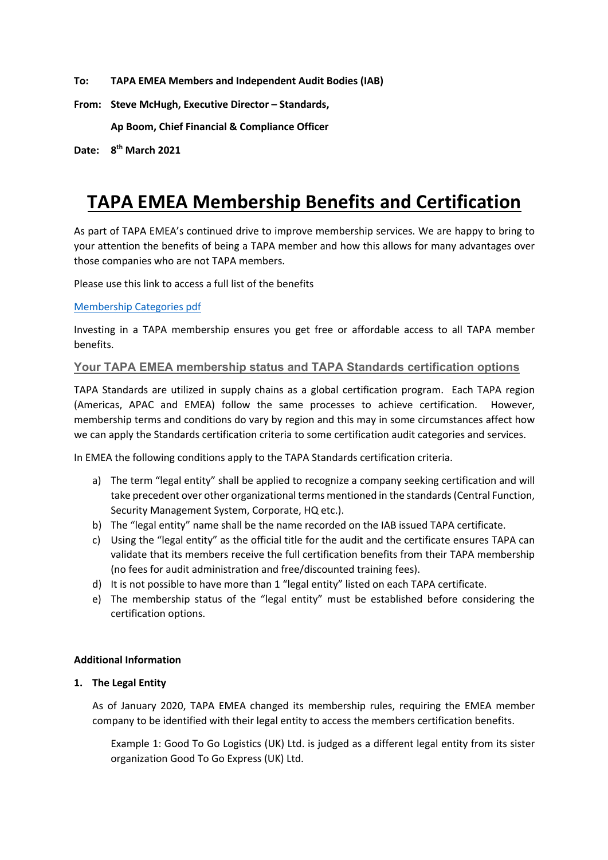**To: TAPA EMEA Members and Independent Audit Bodies (IAB)**

**From: Steve McHugh, Executive Director – Standards,**

**Ap Boom, Chief Financial & Compliance Officer**

**Date: 8th March 2021**

# **TAPA EMEA Membership Benefits and Certification**

As part of TAPA EMEA's continued drive to improve membership services. We are happy to bring to your attention the benefits of being a TAPA member and how this allows for many advantages over those companies who are not TAPA members.

Please use this link to access a full list of the benefits

#### Membership Categories pdf

Investing in a TAPA membership ensures you get free or affordable access to all TAPA member benefits.

#### **Your TAPA EMEA membership status and TAPA Standards certification options**

TAPA Standards are utilized in supply chains as a global certification program. Each TAPA region (Americas, APAC and EMEA) follow the same processes to achieve certification. However, membership terms and conditions do vary by region and this may in some circumstances affect how we can apply the Standards certification criteria to some certification audit categories and services.

In EMEA the following conditions apply to the TAPA Standards certification criteria.

- a) The term "legal entity" shall be applied to recognize a company seeking certification and will take precedent over other organizational terms mentioned in the standards(Central Function, Security Management System, Corporate, HQ etc.).
- b) The "legal entity" name shall be the name recorded on the IAB issued TAPA certificate.
- c) Using the "legal entity" as the official title for the audit and the certificate ensures TAPA can validate that its members receive the full certification benefits from their TAPA membership (no fees for audit administration and free/discounted training fees).
- d) It is not possible to have more than 1 "legal entity" listed on each TAPA certificate.
- e) The membership status of the "legal entity" must be established before considering the certification options.

#### **Additional Information**

#### **1. The Legal Entity**

As of January 2020, TAPA EMEA changed its membership rules, requiring the EMEA member company to be identified with their legal entity to access the members certification benefits.

Example 1: Good To Go Logistics (UK) Ltd. is judged as a different legal entity from its sister organization Good To Go Express (UK) Ltd.